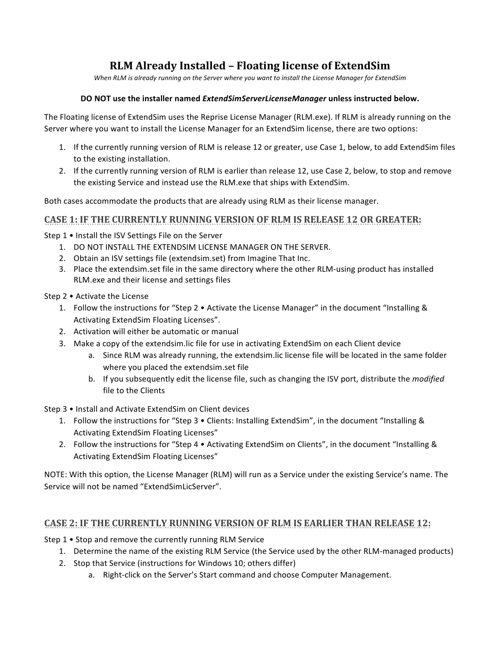# **RLM Already Installed – Floating license of ExtendSim**

*When RLM* is already running on the Server where you want to install the License Manager for ExtendSim

#### **DO NOT use the installer named** *ExtendSimServerLicenseManager* **unless instructed below.**

The Floating license of ExtendSim uses the Reprise License Manager (RLM.exe). If RLM is already running on the Server where you want to install the License Manager for an ExtendSim license, there are two options:

- 1. If the currently running version of RLM is release 12 or greater, use Case 1, below, to add ExtendSim files to the existing installation.
- 2. If the currently running version of RLM is earlier than release 12, use Case 2, below, to stop and remove the existing Service and instead use the RLM.exe that ships with ExtendSim.

Both cases accommodate the products that are already using RLM as their license manager.

### **CASE 1: IF THE CURRENTLY RUNNING VERSION OF RLM IS RELEASE 12 OR GREATER:**

Step 1 • Install the ISV Settings File on the Server

- 1. DO NOT INSTALL THE EXTENDSIM LICENSE MANAGER ON THE SERVER.
- 2. Obtain an ISV settings file (extendsim.set) from Imagine That Inc.
- 3. Place the extendsim.set file in the same directory where the other RLM-using product has installed RLM.exe and their license and settings files

Step  $2 \cdot$  Activate the License

- 1. Follow the instructions for "Step 2 Activate the License Manager" in the document "Installing & Activating ExtendSim Floating Licenses".
- 2. Activation will either be automatic or manual
- 3. Make a copy of the extendsim.lic file for use in activating ExtendSim on each Client device
	- a. Since RLM was already running, the extendsim.lic license file will be located in the same folder where you placed the extendsim.set file
	- b. If you subsequently edit the license file, such as changing the ISV port, distribute the *modified* file to the Clients

Step 3 • Install and Activate ExtendSim on Client devices

- 1. Follow the instructions for "Step 3 Clients: Installing ExtendSim", in the document "Installing & Activating ExtendSim Floating Licenses"
- 2. Follow the instructions for "Step 4 Activating ExtendSim on Clients", in the document "Installing & Activating ExtendSim Floating Licenses"

NOTE: With this option, the License Manager (RLM) will run as a Service under the existing Service's name. The Service will not be named "ExtendSimLicServer".

## **CASE 2: IF THE CURRENTLY RUNNING VERSION OF RLM IS EARLIER THAN RELEASE 12:**

Step  $1 \cdot$  Stop and remove the currently running RLM Service

- 1. Determine the name of the existing RLM Service (the Service used by the other RLM-managed products)
- 2. Stop that Service (instructions for Windows 10; others differ)
	- a. Right-click on the Server's Start command and choose Computer Management.